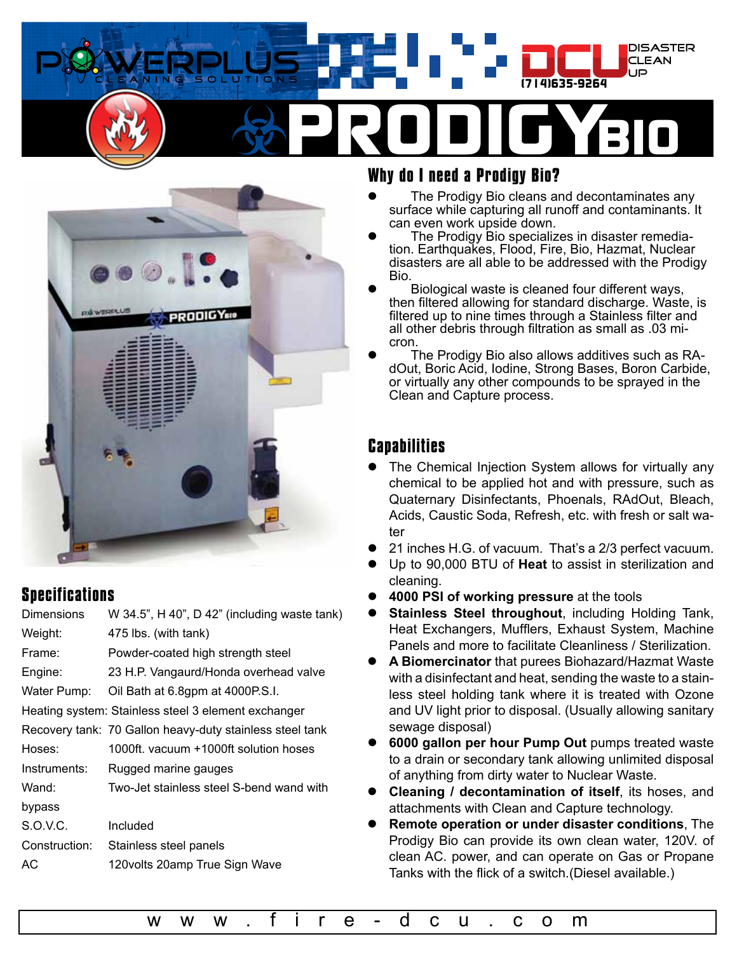



### **Specifications**

| <b>Dimensions</b> | W 34.5", H 40", D 42" (including waste tank)             |
|-------------------|----------------------------------------------------------|
| Weight:           | 475 lbs. (with tank)                                     |
| Frame:            | Powder-coated high strength steel                        |
| Engine:           | 23 H.P. Vangaurd/Honda overhead valve                    |
| Water Pump:       | Oil Bath at 6.8gpm at 4000P.S.I.                         |
|                   | Heating system: Stainless steel 3 element exchanger      |
|                   | Recovery tank: 70 Gallon heavy-duty stainless steel tank |
| Hoses:            | 1000ft. vacuum +1000ft solution hoses                    |
| Instruments:      | Rugged marine gauges                                     |
| Wand:             | Two-Jet stainless steel S-bend wand with                 |
| bypass            |                                                          |
| S.O.V.C.          | Included                                                 |
| Construction:     | Stainless steel panels                                   |
| АC                | 120volts 20amp True Sign Wave                            |
|                   |                                                          |

### **Why do I need a Prodigy Bio?**

- The Prodigy Bio cleans and decontaminates any surface while capturing all runoff and contaminants. It can even work upside down.
- The Prodigy Bio specializes in disaster remediation. Earthquakes, Flood, Fire, Bio, Hazmat, Nuclear disasters are all able to be addressed with the Prodigy Bio.
- Biological waste is cleaned four different ways, then filtered allowing for standard discharge. Waste, is filtered up to nine times through a Stainless filter and all other debris through filtration as small as .03 micron.
- The Prodigy Bio also allows additives such as RAdOut, Boric Acid, Iodine, Strong Bases, Boron Carbide, or virtually any other compounds to be sprayed in the Clean and Capture process.

### **Capabilities**

- The Chemical Injection System allows for virtually any chemical to be applied hot and with pressure, such as Quaternary Disinfectants, Phoenals, RAdOut, Bleach, Acids, Caustic Soda, Refresh, etc. with fresh or salt water
- 21 inches H.G. of vacuum. That's a 2/3 perfect vacuum.
- z Up to 90,000 BTU of **Heat** to assist in sterilization and cleaning.
- z **4000 PSI of working pressure** at the tools
- **Stainless Steel throughout, including Holding Tank,** Heat Exchangers, Mufflers, Exhaust System, Machine Panels and more to facilitate Cleanliness / Sterilization.
- z **A Biomercinator** that purees Biohazard/Hazmat Waste with a disinfectant and heat, sending the waste to a stainless steel holding tank where it is treated with Ozone and UV light prior to disposal. (Usually allowing sanitary sewage disposal)
- z **6000 gallon per hour Pump Out** pumps treated waste to a drain or secondary tank allowing unlimited disposal of anything from dirty water to Nuclear Waste.
- z **Cleaning / decontamination of itself**, its hoses, and attachments with Clean and Capture technology.
- z **Remote operation or under disaster conditions**, The Prodigy Bio can provide its own clean water, 120V. of clean AC. power, and can operate on Gas or Propane Tanks with the flick of a switch.(Diesel available.)

[w w w . f i r e - d c u . c o m](http://www.fire-dcu.com
)